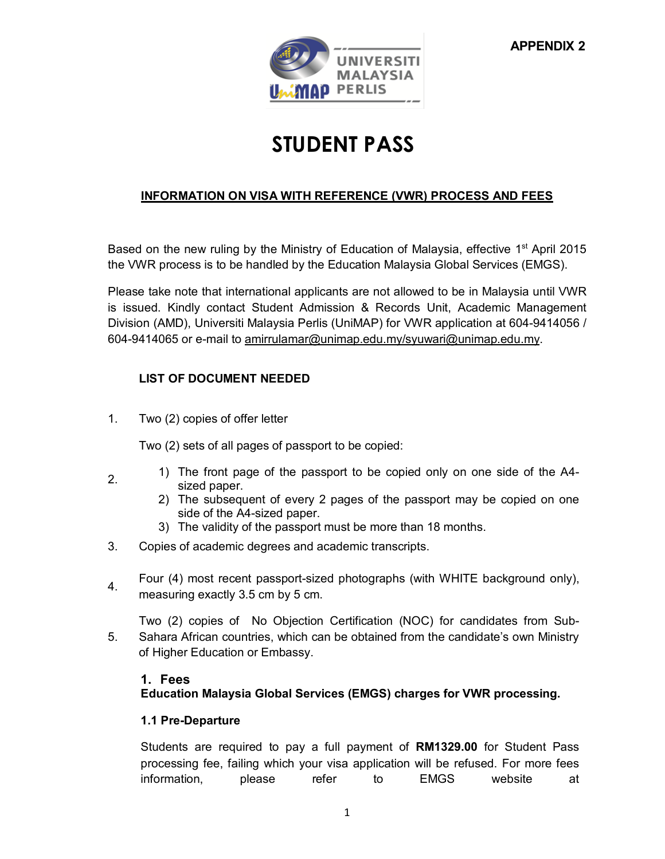

# **STUDENT PASS**

# **INFORMATION ON VISA WITH REFERENCE (VWR) PROCESS AND FEES**

Based on the new ruling by the Ministry of Education of Malaysia, effective 1<sup>st</sup> April 2015 the VWR process is to be handled by the Education Malaysia Global Services (EMGS).

Please take note that international applicants are not allowed to be in Malaysia until VWR is issued. Kindly contact Student Admission & Records Unit, Academic Management Division (AMD), Universiti Malaysia Perlis (UniMAP) for VWR application at 604-9414056 / 604-9414065 or e-mail to [amirrulamar@unimap.edu.my/syuwari@unimap.edu.my.](mailto:amirrulamar@unimap.edu.my/syuwari@unimap.edu.my)

# **LIST OF DOCUMENT NEEDED**

1. Two (2) copies of offer letter

Two (2) sets of all pages of passport to be copied:

- 2. 1) The front page of the passport to be copied only on one side of the A4 sized paper.
	- 2) The subsequent of every 2 pages of the passport may be copied on one side of the A4-sized paper.
	- 3) The validity of the passport must be more than 18 months.
- 3. Copies of academic degrees and academic transcripts.
- Four (4) most recent passport-sized photographs (with WHITE background only), measuring exactly 3.5 cm by 5 cm.

5. Two (2) copies of No Objection Certification (NOC) for candidates from Sub-Sahara African countries, which can be obtained from the candidate's own Ministry of Higher Education or Embassy.

### **1. Fees**

**Education Malaysia Global Services (EMGS) charges for VWR processing.**

### **1.1 Pre-Departure**

Students are required to pay a full payment of **RM1329.00** for Student Pass processing fee, failing which your visa application will be refused. For more fees information, please refer to EMGS website at